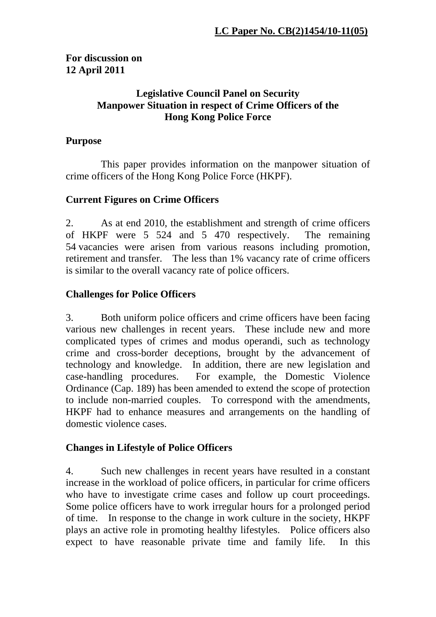## **For discussion on 12 April 2011**

## **Legislative Council Panel on Security Manpower Situation in respect of Crime Officers of the Hong Kong Police Force**

### **Purpose**

 This paper provides information on the manpower situation of crime officers of the Hong Kong Police Force (HKPF).

## **Current Figures on Crime Officers**

2. As at end 2010, the establishment and strength of crime officers of HKPF were 5 524 and 5 470 respectively. The remaining 54 vacancies were arisen from various reasons including promotion, retirement and transfer. The less than 1% vacancy rate of crime officers is similar to the overall vacancy rate of police officers.

## **Challenges for Police Officers**

3. Both uniform police officers and crime officers have been facing various new challenges in recent years. These include new and more complicated types of crimes and modus operandi, such as technology crime and cross-border deceptions, brought by the advancement of technology and knowledge. In addition, there are new legislation and case-handling procedures. For example, the Domestic Violence Ordinance (Cap. 189) has been amended to extend the scope of protection to include non-married couples. To correspond with the amendments, HKPF had to enhance measures and arrangements on the handling of domestic violence cases.

## **Changes in Lifestyle of Police Officers**

4. Such new challenges in recent years have resulted in a constant increase in the workload of police officers, in particular for crime officers who have to investigate crime cases and follow up court proceedings. Some police officers have to work irregular hours for a prolonged period of time. In response to the change in work culture in the society, HKPF plays an active role in promoting healthy lifestyles. Police officers also expect to have reasonable private time and family life. In this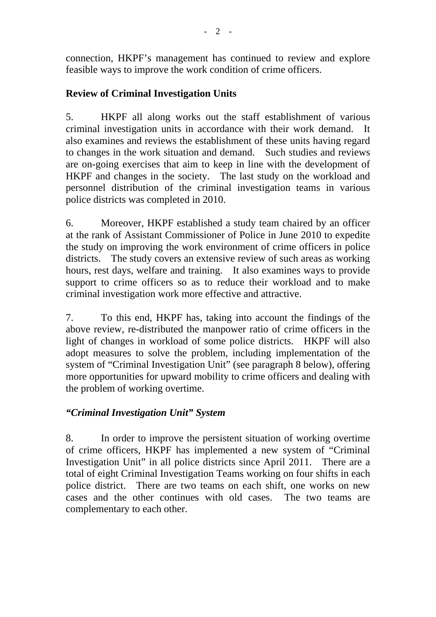connection, HKPF's management has continued to review and explore feasible ways to improve the work condition of crime officers.

# **Review of Criminal Investigation Units**

5. HKPF all along works out the staff establishment of various criminal investigation units in accordance with their work demand. It also examines and reviews the establishment of these units having regard to changes in the work situation and demand. Such studies and reviews are on-going exercises that aim to keep in line with the development of HKPF and changes in the society. The last study on the workload and personnel distribution of the criminal investigation teams in various police districts was completed in 2010.

6. Moreover, HKPF established a study team chaired by an officer at the rank of Assistant Commissioner of Police in June 2010 to expedite the study on improving the work environment of crime officers in police districts. The study covers an extensive review of such areas as working hours, rest days, welfare and training. It also examines ways to provide support to crime officers so as to reduce their workload and to make criminal investigation work more effective and attractive.

7. To this end, HKPF has, taking into account the findings of the above review, re-distributed the manpower ratio of crime officers in the light of changes in workload of some police districts. HKPF will also adopt measures to solve the problem, including implementation of the system of "Criminal Investigation Unit" (see paragraph 8 below), offering more opportunities for upward mobility to crime officers and dealing with the problem of working overtime.

## *"Criminal Investigation Unit" System*

8. In order to improve the persistent situation of working overtime of crime officers, HKPF has implemented a new system of "Criminal Investigation Unit" in all police districts since April 2011. There are a total of eight Criminal Investigation Teams working on four shifts in each police district. There are two teams on each shift, one works on new cases and the other continues with old cases. The two teams are complementary to each other.